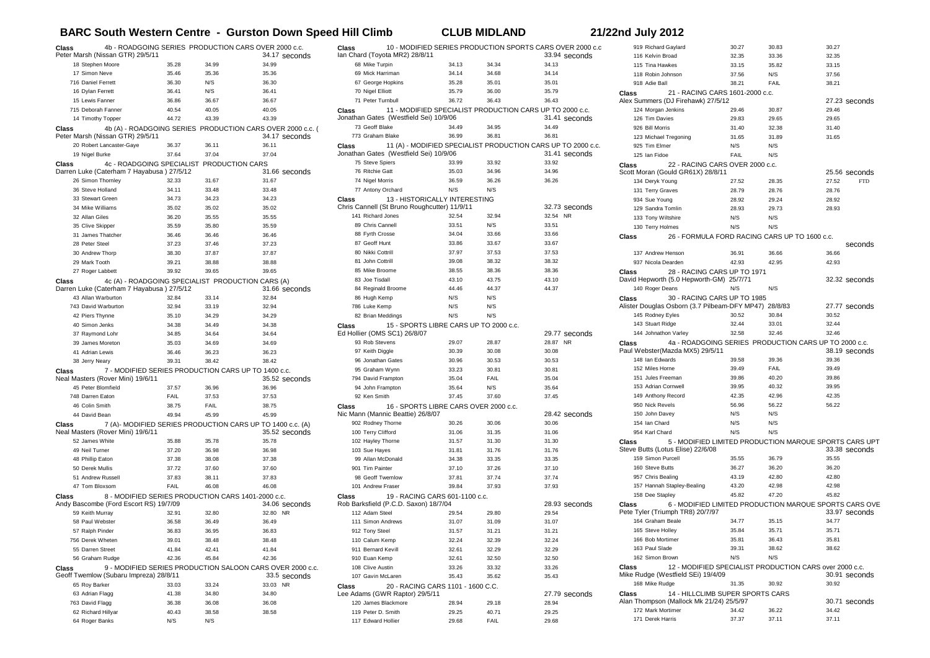## **BARC South Western Centre - Gurston Down Speed Hill Climb CLUB MIDLAND 21/22nd July 2012**

| Class                                                                                                                        | 4b - ROADGOING SERIES PRODUCTION CARS OVER 2000 c.c.<br>Peter Marsh (Nissan GTR) 29/5/11     |             |       | 34.17 seconds |
|------------------------------------------------------------------------------------------------------------------------------|----------------------------------------------------------------------------------------------|-------------|-------|---------------|
|                                                                                                                              | 18 Stephen Moore                                                                             | 35.28       | 34.99 | 34.99         |
|                                                                                                                              | 17 Simon Neve                                                                                | 35.46       | 35.36 | 35.36         |
|                                                                                                                              | 716 Daniel Ferrett                                                                           | 36.30       | N/S   | 36.30         |
|                                                                                                                              | 16 Dylan Ferrett                                                                             | 36.41       | N/S   | 36.41         |
|                                                                                                                              | 15 Lewis Fanner                                                                              | 36.86       | 36.67 | 36.67         |
|                                                                                                                              | 715 Deborah Fanner                                                                           | 40.54       | 40.05 | 40.05         |
|                                                                                                                              | 14 Timothy Topper                                                                            | 44.72       | 43.39 | 43.39         |
|                                                                                                                              | 4b (A) - ROADGOING SERIES PRODUCTION CARS OVER 2000 c.c. (                                   |             |       |               |
| Class                                                                                                                        | Peter Marsh (Nissan GTR) 29/5/11                                                             |             |       | 34.17 seconds |
|                                                                                                                              | 20 Robert Lancaster-Gaye                                                                     | 36.37       | 36.11 | 36.11         |
|                                                                                                                              | 19 Nigel Burke                                                                               | 37.64       | 37.04 | 37.04         |
| Class                                                                                                                        | 4c - ROADGOING SPECIALIST PRODUCTION CARS<br>Darren Luke (Caterham 7 Hayabusa) 27/5/12       |             |       | 31.66 seconds |
|                                                                                                                              | 26 Simon Thornley                                                                            | 32.33       | 31.67 | 31.67         |
|                                                                                                                              | 36 Steve Holland                                                                             | 34.11       | 33.48 | 33.48         |
|                                                                                                                              | 33 Stewart Green                                                                             | 34.73       | 34.23 | 34.23         |
|                                                                                                                              | 34 Mike Williams                                                                             | 35.02       | 35.02 | 35.02         |
|                                                                                                                              | 32 Allan Giles                                                                               | 36.20       | 35.55 | 35.55         |
|                                                                                                                              | 35 Clive Skipper                                                                             | 35.59       | 35.80 | 35.59         |
|                                                                                                                              | 31 James Thatcher                                                                            | 36.46       | 36.46 | 36.46         |
|                                                                                                                              | 28 Peter Steel                                                                               | 37.23       | 37.46 | 37.23         |
|                                                                                                                              | 30 Andrew Thorp                                                                              | 38.30       | 37.87 | 37.87         |
|                                                                                                                              | 29 Mark Tooth                                                                                | 39.21       | 38.88 | 38.88         |
|                                                                                                                              | 27 Roger Labbett                                                                             | 39.92       | 39.65 | 39.65         |
| Class                                                                                                                        | 4c (A) - ROADGOING SPECIALIST PRODUCTION CARS (A)                                            |             |       |               |
|                                                                                                                              | Darren Luke (Caterham 7 Hayabusa) 27/5/12                                                    |             |       | 31.66 seconds |
|                                                                                                                              | 43 Allan Warburton                                                                           | 32.84       | 33.14 | 32.84         |
|                                                                                                                              | 743 David Warburton                                                                          | 32.94       | 33.19 | 32.94         |
|                                                                                                                              | 42 Piers Thynne                                                                              | 35.10       | 34.29 | 34.29         |
|                                                                                                                              | 40 Simon Jenks                                                                               | 34.38       | 34.49 | 34.38         |
|                                                                                                                              | 37 Raymond Lohr                                                                              | 34.85       | 34.64 | 34.64         |
|                                                                                                                              | 39 James Moreton                                                                             | 35.03       | 34.69 | 34.69         |
|                                                                                                                              | 41 Adrian Lewis                                                                              | 36.46       | 36.23 | 36.23         |
|                                                                                                                              | 38 Jerry Neary                                                                               | 39.31       | 38.42 | 38.42         |
| 7 - MODIFIED SERIES PRODUCTION CARS UP TO 1400 c.c.<br>Class<br>Neal Masters (Rover Mini) 19/6/11<br>35.52 seconds           |                                                                                              |             |       |               |
|                                                                                                                              | 45 Peter Blomfield                                                                           | 37.57       | 36.96 | 36.96         |
|                                                                                                                              | 748 Darren Eaton                                                                             | <b>FAIL</b> | 37.53 | 37.53         |
|                                                                                                                              | 46 Colin Smith                                                                               | 38.75       | FAIL  | 38.75         |
|                                                                                                                              | 44 David Bean                                                                                | 49.94       | 45.99 | 45.99         |
| 7 (A)- MODIFIED SERIES PRODUCTION CARS UP TO 1400 c.c. (A)<br>Class                                                          |                                                                                              |             |       |               |
|                                                                                                                              | Neal Masters (Rover Mini) 19/6/11                                                            |             |       | 35.52 seconds |
|                                                                                                                              | 52 James White                                                                               | 35.88       | 35.78 | 35.78         |
|                                                                                                                              | 49 Neil Turner                                                                               | 37.20       | 36.98 | 36.98         |
|                                                                                                                              | 48 Phillip Eaton                                                                             | 37.38       | 38.08 | 37.38         |
|                                                                                                                              | 50 Derek Mullis                                                                              | 37.72       | 37.60 | 37.60         |
|                                                                                                                              | 51 Andrew Russell                                                                            | 37.83       | 38.11 | 37.83         |
|                                                                                                                              | 47 Tom Bloxsom                                                                               | FAIL        | 46.08 | 46.08         |
| Class                                                                                                                        | 8 - MODIFIED SERIES PRODUCTION CARS 1401-2000 c.c.<br>Andy Bascombe (Ford Escort RS) 19/7/09 |             |       | 34.06 seconds |
|                                                                                                                              | 59 Keith Murray                                                                              | 32.91       | 32.80 | 32.80 NR      |
|                                                                                                                              | 58 Paul Webster                                                                              | 36.58       | 36.49 | 36.49         |
|                                                                                                                              | 57 Ralph Pinder                                                                              | 36.83       | 36.95 | 36.83         |
|                                                                                                                              | 756 Derek Wheten                                                                             | 39.01       | 38.48 | 38.48         |
|                                                                                                                              | 55 Darren Street                                                                             | 41.84       | 42.41 | 41.84         |
|                                                                                                                              | 56 Graham Rudge                                                                              | 42.36       | 45.84 | 42.36         |
|                                                                                                                              |                                                                                              |             |       |               |
| 9 - MODIFIED SERIES PRODUCTION SALOON CARS OVER 2000 c.c.<br>Class<br>Geoff Twemlow (Subaru Impreza) 28/8/11<br>33.5 seconds |                                                                                              |             |       |               |
|                                                                                                                              | 65 Roy Barker                                                                                | 33.03       | 33.24 | 33.03 NR      |
|                                                                                                                              | 63 Adrian Flagg                                                                              | 41.38       | 34.80 | 34.80         |
|                                                                                                                              | 763 David Flagg                                                                              | 36.38       | 36.08 | 36.08         |
|                                                                                                                              | 62 Richard Hillyar                                                                           | 40.43       | 38.58 | 38.58         |
|                                                                                                                              | 64 Roger Banks                                                                               | N/S         | N/S   |               |

| Class<br>Ian Chard (Toyota MR2) 28/8/11                                                                     |       |       | 10 - MODIFIED SERIES PRODUCTION SPORTS CARS OVER 2000 c.c<br>33.94 seconds    |
|-------------------------------------------------------------------------------------------------------------|-------|-------|-------------------------------------------------------------------------------|
| 68 Mike Turpin                                                                                              | 34.13 | 34.34 | 34.13                                                                         |
| 69 Mick Harriman                                                                                            | 34.14 | 34.68 | 34.14                                                                         |
| 67 George Hopkins                                                                                           | 35.28 | 35.01 | 35.01                                                                         |
| 70 Nigel Elliott                                                                                            | 35.79 | 36.00 | 35.79                                                                         |
| 71 Peter Turnbull                                                                                           | 36.72 | 36.43 | 36.43                                                                         |
| 11 - MODIFIED SPECIALIST PRODUCTION CARS UP TO 2000 c.c.<br>Class<br>Jonathan Gates (Westfield Sei) 10/9/06 |       |       | 31.41 seconds                                                                 |
| 73 Geoff Blake                                                                                              | 34.49 | 34.95 | 34.49                                                                         |
| 773 Graham Blake                                                                                            | 36.99 | 36.81 | 36.81                                                                         |
| Class<br>Jonathan Gates (Westfield Sei) 10/9/06                                                             |       |       | 11 (A) - MODIFIED SPECIALIST PRODUCTION CARS UP TO 2000 c.c.<br>31.41 seconds |
| 75 Steve Spiers                                                                                             | 33.99 | 33.92 | 33.92                                                                         |
| 76 Ritchie Gatt                                                                                             | 35.03 | 34.96 | 34.96                                                                         |
| 74 Nigel Morris                                                                                             | 36.59 | 36.26 | 36.26                                                                         |
| 77 Antony Orchard                                                                                           | N/S   | N/S   |                                                                               |
| 13 - HISTORICALLY INTERESTING<br>Class<br>Chris Cannell (St Bruno Roughcutter) 11/9/11                      |       |       | 32.73 seconds                                                                 |
| 141 Richard Jones                                                                                           | 32.54 | 32.94 | 32.54 NR                                                                      |
| 89 Chris Cannell                                                                                            | 33.51 | N/S   | 33.51                                                                         |
| 88 Fyrth Crosse                                                                                             | 34.04 | 33.66 | 33.66                                                                         |
| 87 Geoff Hunt                                                                                               | 33.86 | 33.67 | 33.67                                                                         |
| 80 Nikki Cottrill                                                                                           | 37.97 | 37.53 | 37.53                                                                         |
| 81 John Cottrill                                                                                            | 39.08 | 38.32 | 38.32                                                                         |
| 85 Mike Broome                                                                                              | 38.55 | 38.36 | 38.36                                                                         |
| 83 Joe Tisdall                                                                                              | 43.10 | 43.75 | 43.10                                                                         |
| 84 Reginald Broome                                                                                          | 44.46 | 44.37 | 44.37                                                                         |
| 86 Hugh Kemp                                                                                                | N/S   | N/S   |                                                                               |
| 786 Luke Kemp                                                                                               | N/S   | N/S   |                                                                               |
| 82 Brian Meddings                                                                                           | N/S   | N/S   |                                                                               |
| 15 - SPORTS LIBRE CARS UP TO 2000 c.c.<br>Class<br>Ed Hollier (OMS SC1) 26/8/07                             |       |       | 29.77 seconds                                                                 |
| 93 Rob Stevens                                                                                              | 29.07 | 28.87 | 28.87 NR                                                                      |
| 97 Keith Diggle                                                                                             | 30.39 | 30.08 | 30.08                                                                         |
| 96 Jonathan Gates                                                                                           | 30.96 | 30.53 | 30.53                                                                         |
| 95 Graham Wynn                                                                                              | 33.23 | 30.81 | 30.81                                                                         |
| 794 David Frampton                                                                                          | 35.04 | FAIL  | 35.04                                                                         |
| 94 John Frampton                                                                                            | 35.64 | N/S   | 35.64                                                                         |
| 92 Ken Smith                                                                                                | 37.45 | 37.60 | 37.45                                                                         |
| 16 - SPORTS LIBRE CARS OVER 2000 c.c.<br>Class<br>Nic Mann (Mannic Beattie) 26/8/07                         |       |       | 28.42 seconds                                                                 |
| 902 Rodney Thorne                                                                                           | 30.26 | 30.06 | 30.06                                                                         |
| 100 Terry Clifford                                                                                          | 31.06 | 31.35 | 31.06                                                                         |
| 102 Hayley Thorne                                                                                           | 31.57 | 31.30 | 31.30                                                                         |
| 103 Sue Hayes                                                                                               | 31.81 | 31.76 | 31.76                                                                         |
| 99 Allan McDonald                                                                                           | 34.38 | 33.35 | 33.35                                                                         |
| 901 Tim Painter                                                                                             | 37.10 | 37.26 | 37.10                                                                         |
| 98 Geoff Twemlow                                                                                            | 37.81 | 37.74 | 37.74                                                                         |
| 101 Andrew Fraser                                                                                           | 39.84 | 37.93 | 37.93                                                                         |
| 19 - RACING CARS 601-1100 c.c.<br>Class                                                                     |       |       |                                                                               |
| Rob Barksfield (P.C.D. Saxon) 18/7/04                                                                       |       |       | 28.93 seconds                                                                 |
| 112 Adam Steel                                                                                              | 29.54 | 29.80 | 29.54                                                                         |
| 111 Simon Andrews                                                                                           | 31.07 | 31.09 | 31.07                                                                         |
| 912 Tony Steel                                                                                              | 31.57 | 31.21 | 31.21                                                                         |
| 110 Calum Kemp                                                                                              | 32.24 | 32.39 | 32.24                                                                         |
| 911 Bernard Kevill                                                                                          | 32.61 | 32.29 | 32.29                                                                         |
| 910 Euan Kemp                                                                                               | 32.61 | 32.50 | 32.50                                                                         |
| 108 Clive Austin                                                                                            | 33.26 | 33.32 | 33.26                                                                         |
| 107 Gavin McLaren                                                                                           | 35.43 | 35.62 | 35.43                                                                         |
| 20 - RACING CARS 1101 - 1600 C.C.<br>Class<br>Lee Adams (GWR Raptor) 29/5/11                                |       |       | 27.79 seconds                                                                 |
| 120 James Blackmore                                                                                         | 28.94 | 29.18 | 28.94                                                                         |
| 119 Peter D. Smith                                                                                          | 29.25 | 40.71 | 29.25                                                                         |
| 117 Edward Hollier                                                                                          | 29.68 | FAIL  | 29.68                                                                         |

| 919 Richard Gaylard                                                           | 30.27          | 30.83                                                   | 30.27                                                  |
|-------------------------------------------------------------------------------|----------------|---------------------------------------------------------|--------------------------------------------------------|
| 116 Kelvin Broad                                                              | 32.35          | 33.36                                                   | 32.35                                                  |
| 115 Tina Hawkes                                                               | 33.15          | 35.82                                                   | 33.15                                                  |
| 118 Robin Johnson                                                             | 37.56          | N/S                                                     | 37.56                                                  |
| 918 Adie Ball                                                                 | 38.21          | FAIL                                                    | 38.21                                                  |
| 21 - RACING CARS 1601-2000 c.c.<br>Class                                      |                |                                                         |                                                        |
| Alex Summers (DJ Firehawk) 27/5/12                                            |                |                                                         | 27.23 seconds                                          |
| 124 Morgan Jenkins                                                            | 29.46          | 30.87                                                   | 29.46                                                  |
| 126 Tim Davies                                                                | 29.83          | 29.65                                                   | 29.65                                                  |
| 926 Bill Morris                                                               | 31.40          | 32.38                                                   | 31.40                                                  |
| 123 Michael Tregoning                                                         | 31.65          | 31.89                                                   | 31.65                                                  |
| 925 Tim Elmer                                                                 | N/S            | N/S                                                     |                                                        |
| 125 Ian Fidoe                                                                 | FAIL           | N/S                                                     |                                                        |
|                                                                               |                |                                                         |                                                        |
| Class<br>22 - RACING CARS OVER 2000 c.c.<br>Scott Moran (Gould GR61X) 28/8/11 |                |                                                         | 25.56 seconds                                          |
|                                                                               |                | 28.35                                                   | <b>FTD</b>                                             |
| 134 Deryk Young                                                               | 27.52          |                                                         | 27.52                                                  |
| 131 Terry Graves                                                              | 28.79          | 28.76                                                   | 28.76                                                  |
| 934 Sue Young                                                                 | 28.92          | 29.24                                                   | 28.92                                                  |
| 129 Sandra Tomlin                                                             | 28.93          | 29.73                                                   | 28.93                                                  |
| 133 Tony Wiltshire                                                            | N/S            | N/S                                                     |                                                        |
| 130 Terry Holmes                                                              | N/S            | N/S                                                     |                                                        |
| 26 - FORMULA FORD RACING CARS UP TO 1600 c.c.<br>Class                        |                |                                                         |                                                        |
|                                                                               |                |                                                         | seconds                                                |
| 137 Andrew Henson                                                             | 36.91          | 36.66                                                   | 36.66                                                  |
| 937 Nicola Dearden                                                            | 42.93          | 42.95                                                   | 42.93                                                  |
| 28 - RACING CARS UP TO 1971<br>Class                                          |                |                                                         |                                                        |
| David Hepworth (5.0 Hepworth-GM) 25/7/71                                      |                |                                                         | 32.32 seconds                                          |
| 140 Roger Deans                                                               | N/S            | N/S                                                     |                                                        |
| 30 - RACING CARS UP TO 1985<br>Class                                          |                |                                                         |                                                        |
| Alister Douglas Osborn (3.7 Pilbeam-DFY MP47) 28/8/83                         |                |                                                         | 27.77 seconds                                          |
| 145 Rodney Eyles                                                              | 30.52          | 30.84                                                   | 30.52                                                  |
| 143 Stuart Ridge                                                              | 32.44          | 33.01                                                   | 32.44                                                  |
| 144 Johnathon Varley                                                          | 32.58          | 32.46                                                   | 32.46                                                  |
| 4a - ROADGOING SERIES PRODUCTION CARS UP TO 2000 c.c.<br>Class                |                |                                                         |                                                        |
| Paul Webster(Mazda MX5) 29/5/11                                               |                |                                                         | 38.19 seconds                                          |
| 148 Ian Edwards                                                               | 39.58          | 39.36                                                   | 39.36                                                  |
| 152 Miles Horne                                                               | 39.49          | FAIL                                                    | 39.49                                                  |
| 151 Jules Freeman                                                             | 39.86          | 40.20                                                   | 39.86                                                  |
| 153 Adrian Cornwell                                                           | 39.95          | 40.32                                                   | 39.95                                                  |
| 149 Anthony Record                                                            | 42.35          | 42.96                                                   | 42.35                                                  |
| 950 Nick Revels                                                               | 56.96          | 56.22                                                   | 56.22                                                  |
| 150 John Davey                                                                | N/S            | N/S                                                     |                                                        |
| 154 Ian Chard                                                                 | N/S            | N/S                                                     |                                                        |
| 954 Karl Chard                                                                | N/S            | N/S                                                     |                                                        |
| Class                                                                         |                |                                                         | 5 - MODIFIED LIMITED PRODUCTION MARQUE SPORTS CARS UPT |
| Steve Butts (Lotus Elise) 22/6/08                                             |                |                                                         | 33.38 seconds                                          |
| 159 Simon Purcell                                                             | 35.55          | 36.79                                                   | 35.55                                                  |
| 160 Steve Butts                                                               | 36.27          | 36.20                                                   | 36.20                                                  |
| 957 Chris Bealing                                                             | 43.19          | 42.80                                                   | 42.80                                                  |
| 157 Hannah Stapley-Bealing                                                    | 43.20          | 42.98                                                   | 42.98                                                  |
| 158 Dee Stapley                                                               | 45.82          | 47.20                                                   | 45.82                                                  |
| Class<br>Pete Tyler (Triumph TR8) 20/7/97                                     |                |                                                         | 6 - MODIFIED LIMITED PRODUCTION MARQUE SPORTS CARS OVE |
| 164 Graham Beale                                                              | 34.77          | 35.15                                                   | 33.97 seconds<br>34.77                                 |
|                                                                               |                |                                                         |                                                        |
| 165 Steve Holley                                                              | 35.84          | 35.71                                                   | 35.71                                                  |
| 166 Bob Mortimer                                                              | 35.81          | 36.43                                                   | 35.81                                                  |
| 163 Paul Slade                                                                | 39.31          | 38.62                                                   | 38.62                                                  |
| 162 Simon Brown                                                               | N/S            | N/S                                                     |                                                        |
| Class                                                                         |                | 12 - MODIFIED SPECIALIST PRODUCTION CARS over 2000 c.c. |                                                        |
| Mike Rudge (Westfield SEi) 19/4/09                                            |                |                                                         | 30.91 seconds                                          |
| 168 Mike Rudge                                                                |                | 30.92                                                   | 30.92                                                  |
| Class<br>14 - HILLCLIMB SUPER SPORTS CARS                                     | 31.35          |                                                         |                                                        |
|                                                                               |                |                                                         |                                                        |
| Alan Thompson (Mallock Mk 21/24) 25/5/97                                      |                |                                                         | 30.71 seconds                                          |
| 172 Mark Mortimer<br>171 Derek Harris                                         | 34.42<br>37.37 | 36.22<br>37.11                                          | 34.42<br>37.11                                         |